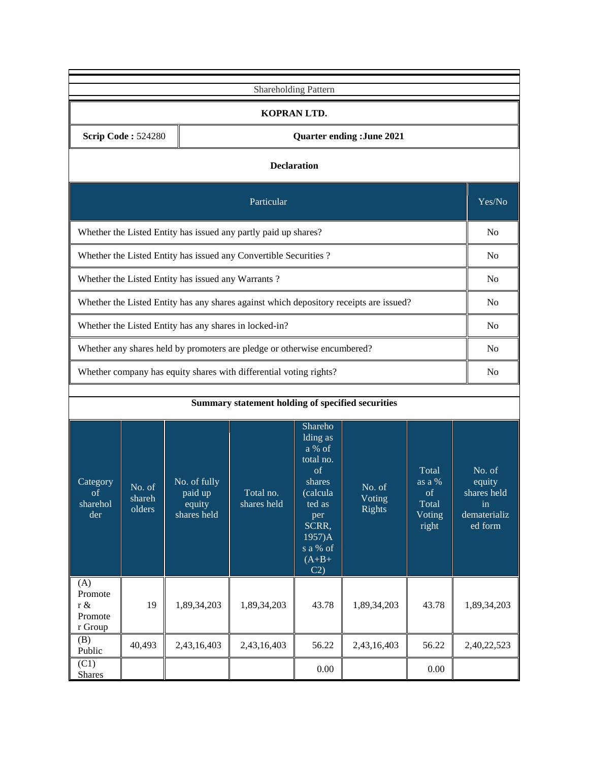| Shareholding Pattern                                                                                                                                                                                                                                                                                                                                                                    |                                                                |                                                    |                                                                   |          |             |       |                                                                  |  |  |
|-----------------------------------------------------------------------------------------------------------------------------------------------------------------------------------------------------------------------------------------------------------------------------------------------------------------------------------------------------------------------------------------|----------------------------------------------------------------|----------------------------------------------------|-------------------------------------------------------------------|----------|-------------|-------|------------------------------------------------------------------|--|--|
|                                                                                                                                                                                                                                                                                                                                                                                         | KOPRAN LTD.                                                    |                                                    |                                                                   |          |             |       |                                                                  |  |  |
|                                                                                                                                                                                                                                                                                                                                                                                         | <b>Scrip Code: 524280</b><br><b>Quarter ending : June 2021</b> |                                                    |                                                                   |          |             |       |                                                                  |  |  |
|                                                                                                                                                                                                                                                                                                                                                                                         | <b>Declaration</b>                                             |                                                    |                                                                   |          |             |       |                                                                  |  |  |
| Particular                                                                                                                                                                                                                                                                                                                                                                              |                                                                |                                                    |                                                                   |          |             |       |                                                                  |  |  |
|                                                                                                                                                                                                                                                                                                                                                                                         |                                                                |                                                    | Whether the Listed Entity has issued any partly paid up shares?   |          |             |       | N <sub>0</sub>                                                   |  |  |
|                                                                                                                                                                                                                                                                                                                                                                                         |                                                                |                                                    | Whether the Listed Entity has issued any Convertible Securities ? |          |             |       | N <sub>0</sub>                                                   |  |  |
|                                                                                                                                                                                                                                                                                                                                                                                         |                                                                | Whether the Listed Entity has issued any Warrants? |                                                                   |          |             |       | N <sub>0</sub>                                                   |  |  |
| Whether the Listed Entity has any shares against which depository receipts are issued?                                                                                                                                                                                                                                                                                                  |                                                                |                                                    |                                                                   |          |             |       | N <sub>0</sub>                                                   |  |  |
| Whether the Listed Entity has any shares in locked-in?                                                                                                                                                                                                                                                                                                                                  |                                                                |                                                    |                                                                   |          |             |       | N <sub>0</sub>                                                   |  |  |
| Whether any shares held by promoters are pledge or otherwise encumbered?                                                                                                                                                                                                                                                                                                                |                                                                |                                                    |                                                                   |          |             |       | N <sub>0</sub>                                                   |  |  |
| Whether company has equity shares with differential voting rights?                                                                                                                                                                                                                                                                                                                      |                                                                |                                                    |                                                                   |          |             |       | No                                                               |  |  |
|                                                                                                                                                                                                                                                                                                                                                                                         | Summary statement holding of specified securities              |                                                    |                                                                   |          |             |       |                                                                  |  |  |
|                                                                                                                                                                                                                                                                                                                                                                                         |                                                                |                                                    |                                                                   |          |             |       |                                                                  |  |  |
| Shareho<br>Iding as<br>a % of<br>total no.<br>Total<br>of<br>No. of fully<br>as a $%$<br>shares<br>Category<br>No. of<br>No. of<br>Total no.<br>paid up<br>(calcula<br>of<br>of<br>shareh<br>Voting<br>shares held<br>Total<br>sharehol<br>equity<br>ted as<br><b>Rights</b><br>olders<br>shares held<br>Voting<br>der<br>per<br>SCRR,<br>right<br>1957)A<br>s a % of<br>$(A+B+$<br>C2) |                                                                |                                                    |                                                                   |          |             |       | No. of<br>equity<br>shares held<br>in<br>dematerializ<br>ed form |  |  |
| (A)<br>Promote<br>$r \&$<br>Promote<br>r Group                                                                                                                                                                                                                                                                                                                                          | 19                                                             | 1,89,34,203                                        | 1,89,34,203                                                       | 43.78    | 1,89,34,203 | 43.78 | 1,89,34,203                                                      |  |  |
| (B)<br>Public                                                                                                                                                                                                                                                                                                                                                                           | 40,493                                                         | 2,43,16,403                                        | 2,43,16,403                                                       | 56.22    | 2,43,16,403 | 56.22 | 2,40,22,523                                                      |  |  |
| (C1)<br><b>Shares</b>                                                                                                                                                                                                                                                                                                                                                                   |                                                                |                                                    |                                                                   | $0.00\,$ |             | 0.00  |                                                                  |  |  |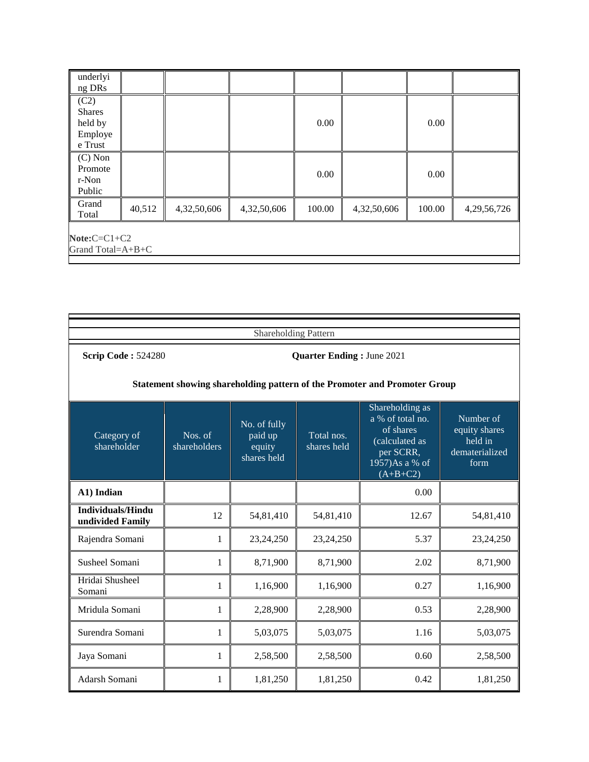| underlyi<br>$ng$ DRs                                   |        |             |             |          |             |        |             |
|--------------------------------------------------------|--------|-------------|-------------|----------|-------------|--------|-------------|
| (C2)<br><b>Shares</b><br>held by<br>Employe<br>e Trust |        |             |             | $0.00\,$ |             | 0.00   |             |
| $(C)$ Non<br>Promote<br>r-Non<br>Public                |        |             |             | 0.00     |             | 0.00   |             |
| Grand<br>Total                                         | 40,512 | 4,32,50,606 | 4,32,50,606 | 100.00   | 4,32,50,606 | 100.00 | 4,29,56,726 |
| $Note:C=C1+C2$<br>Grand Total=A+B+C                    |        |             |             |          |             |        |             |

| <b>Shareholding Pattern</b>                                                      |                         |                                                  |                           |                                                                                                                 |                                                                 |  |  |  |
|----------------------------------------------------------------------------------|-------------------------|--------------------------------------------------|---------------------------|-----------------------------------------------------------------------------------------------------------------|-----------------------------------------------------------------|--|--|--|
| <b>Scrip Code: 524280</b>                                                        |                         | <b>Quarter Ending: June 2021</b>                 |                           |                                                                                                                 |                                                                 |  |  |  |
| <b>Statement showing shareholding pattern of the Promoter and Promoter Group</b> |                         |                                                  |                           |                                                                                                                 |                                                                 |  |  |  |
| Category of<br>shareholder                                                       | Nos. of<br>shareholders | No. of fully<br>paid up<br>equity<br>shares held | Total nos.<br>shares held | Shareholding as<br>a % of total no.<br>of shares<br>(calculated as<br>per SCRR,<br>1957)As a % of<br>$(A+B+C2)$ | Number of<br>equity shares<br>held in<br>dematerialized<br>form |  |  |  |
| A1) Indian                                                                       |                         |                                                  |                           | 0.00                                                                                                            |                                                                 |  |  |  |
| <b>Individuals/Hindu</b><br>undivided Family                                     | 12                      | 54,81,410                                        | 54,81,410                 | 12.67                                                                                                           | 54,81,410                                                       |  |  |  |
| Rajendra Somani                                                                  | $\mathbf{1}$            | 23,24,250                                        | 23,24,250                 | 5.37                                                                                                            | 23,24,250                                                       |  |  |  |
| <b>Susheel Somani</b>                                                            | $\mathbf{1}$            | 8,71,900                                         | 8,71,900                  | 2.02                                                                                                            | 8,71,900                                                        |  |  |  |
| Hridai Shusheel<br>Somani                                                        | 1                       | 1,16,900                                         | 1,16,900                  | 0.27                                                                                                            | 1,16,900                                                        |  |  |  |
| Mridula Somani                                                                   | $\mathbf{1}$            | 2,28,900                                         | 2,28,900                  | 0.53                                                                                                            | 2,28,900                                                        |  |  |  |
| Surendra Somani                                                                  | 1                       | 5,03,075                                         | 5,03,075                  | 1.16                                                                                                            | 5,03,075                                                        |  |  |  |
| Jaya Somani                                                                      | 1                       | 2,58,500                                         | 2,58,500                  | 0.60                                                                                                            | 2,58,500                                                        |  |  |  |
| Adarsh Somani                                                                    | 1                       | 1,81,250                                         | 1,81,250                  | 0.42                                                                                                            | 1,81,250                                                        |  |  |  |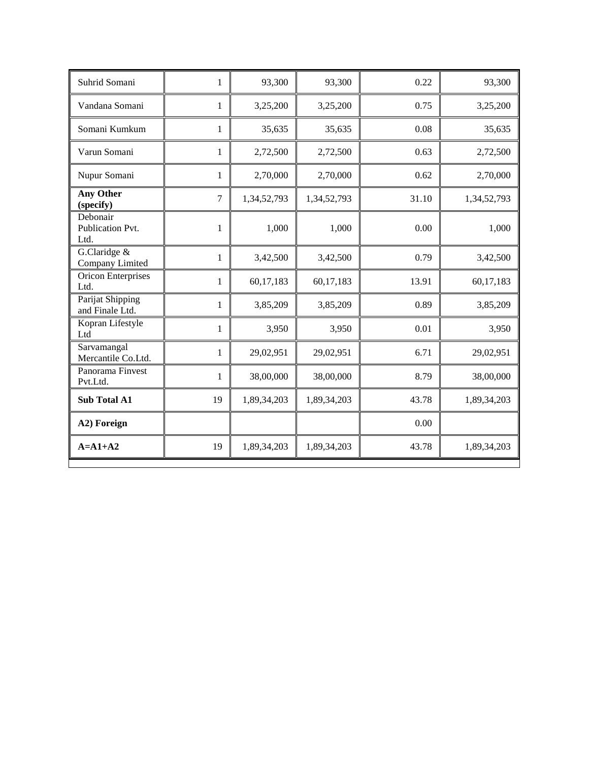| Suhrid Somani                        | 1            | 93,300      | 93,300      | 0.22  | 93,300      |
|--------------------------------------|--------------|-------------|-------------|-------|-------------|
| Vandana Somani                       | $\mathbf{1}$ | 3,25,200    | 3,25,200    | 0.75  | 3,25,200    |
| Somani Kumkum                        | $\mathbf 1$  | 35,635      | 35,635      | 0.08  | 35,635      |
| Varun Somani                         | $\mathbf{1}$ | 2,72,500    | 2,72,500    | 0.63  | 2,72,500    |
| Nupur Somani                         | $\mathbf{1}$ | 2,70,000    | 2,70,000    | 0.62  | 2,70,000    |
| <b>Any Other</b><br>(specify)        | 7            | 1,34,52,793 | 1,34,52,793 | 31.10 | 1,34,52,793 |
| Debonair<br>Publication Pvt.<br>Ltd. | $\mathbf 1$  | 1,000       | 1,000       | 0.00  | 1,000       |
| G.Claridge &<br>Company Limited      | $\mathbf{1}$ | 3,42,500    | 3,42,500    | 0.79  | 3,42,500    |
| <b>Oricon Enterprises</b><br>Ltd.    | $\mathbf{1}$ | 60,17,183   | 60,17,183   | 13.91 | 60,17,183   |
| Parijat Shipping<br>and Finale Ltd.  | $\mathbf{1}$ | 3,85,209    | 3,85,209    | 0.89  | 3,85,209    |
| Kopran Lifestyle<br>Ltd              | $\mathbf{1}$ | 3,950       | 3,950       | 0.01  | 3,950       |
| Sarvamangal<br>Mercantile Co.Ltd.    | $\mathbf{1}$ | 29,02,951   | 29,02,951   | 6.71  | 29,02,951   |
| Panorama Finvest<br>Pvt.Ltd.         | $\mathbf{1}$ | 38,00,000   | 38,00,000   | 8.79  | 38,00,000   |
| <b>Sub Total A1</b>                  | 19           | 1,89,34,203 | 1,89,34,203 | 43.78 | 1,89,34,203 |
| A2) Foreign                          |              |             |             | 0.00  |             |
| $A=A1+A2$                            | 19           | 1,89,34,203 | 1,89,34,203 | 43.78 | 1,89,34,203 |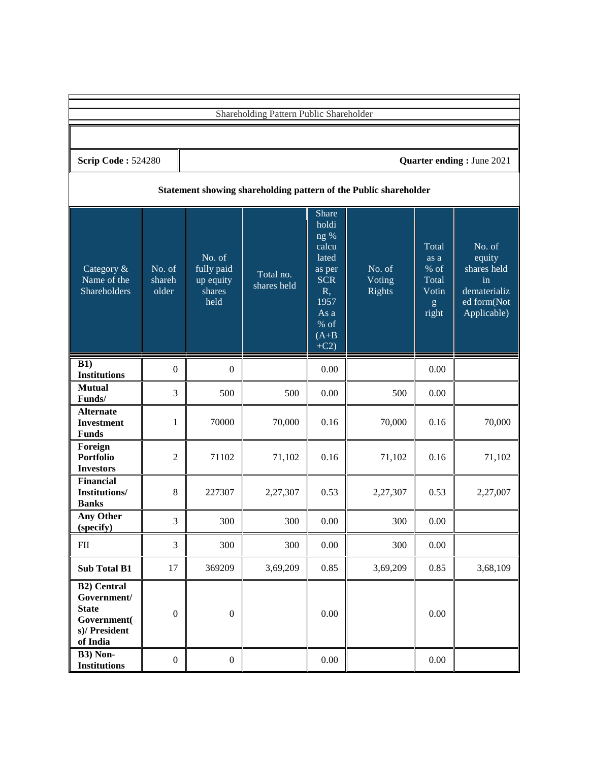|                                                                                               | Shareholding Pattern Public Shareholder                          |                                                     |                          |                                                                                                                    |                            |                                                                                                                  |                                                                                     |  |
|-----------------------------------------------------------------------------------------------|------------------------------------------------------------------|-----------------------------------------------------|--------------------------|--------------------------------------------------------------------------------------------------------------------|----------------------------|------------------------------------------------------------------------------------------------------------------|-------------------------------------------------------------------------------------|--|
|                                                                                               |                                                                  |                                                     |                          |                                                                                                                    |                            |                                                                                                                  |                                                                                     |  |
|                                                                                               | <b>Scrip Code: 524280</b><br><b>Quarter ending: June 2021</b>    |                                                     |                          |                                                                                                                    |                            |                                                                                                                  |                                                                                     |  |
|                                                                                               | Statement showing shareholding pattern of the Public shareholder |                                                     |                          |                                                                                                                    |                            |                                                                                                                  |                                                                                     |  |
| Category &<br>Name of the<br>Shareholders                                                     | No. of<br>shareh<br>older                                        | No. of<br>fully paid<br>up equity<br>shares<br>held | Total no.<br>shares held | Share<br>holdi<br>ng %<br>calcu<br>lated<br>as per<br><b>SCR</b><br>R,<br>1957<br>As a<br>% of<br>$(A+B)$<br>$+C2$ | No. of<br>Voting<br>Rights | <b>Total</b><br>as a<br>% of<br>Total<br>Votin<br>$\mathbf{g}% _{0}\left( \mathbf{r},\mathbf{r}\right)$<br>right | No. of<br>equity<br>shares held<br>in<br>dematerializ<br>ed form(Not<br>Applicable) |  |
| B1)<br><b>Institutions</b>                                                                    | $\boldsymbol{0}$                                                 | $\boldsymbol{0}$                                    |                          | 0.00                                                                                                               |                            | 0.00                                                                                                             |                                                                                     |  |
| <b>Mutual</b><br>Funds/                                                                       | 3                                                                | 500                                                 | 500                      | 0.00                                                                                                               | 500                        | 0.00                                                                                                             |                                                                                     |  |
| <b>Alternate</b><br><b>Investment</b><br><b>Funds</b>                                         | 1                                                                | 70000                                               | 70,000                   | 0.16                                                                                                               | 70,000                     | 0.16                                                                                                             | 70,000                                                                              |  |
| Foreign<br><b>Portfolio</b><br><b>Investors</b>                                               | $\mathfrak{2}$                                                   | 71102                                               | 71,102                   | 0.16                                                                                                               | 71,102                     | 0.16                                                                                                             | 71,102                                                                              |  |
| <b>Financial</b><br>Institutions/<br><b>Banks</b>                                             | 8                                                                | 227307                                              | 2,27,307                 | 0.53                                                                                                               | 2,27,307                   | 0.53                                                                                                             | 2,27,007                                                                            |  |
| <b>Any Other</b><br>(specify)                                                                 | 3                                                                | 300                                                 | 300                      | 0.00                                                                                                               | 300                        | 0.00                                                                                                             |                                                                                     |  |
| ${\rm FII}$                                                                                   | 3                                                                | 300                                                 | 300                      | 0.00                                                                                                               | 300                        | 0.00                                                                                                             |                                                                                     |  |
| <b>Sub Total B1</b>                                                                           | 17                                                               | 369209                                              | 3,69,209                 | 0.85                                                                                                               | 3,69,209                   | 0.85                                                                                                             | 3,68,109                                                                            |  |
| <b>B2)</b> Central<br>Government/<br><b>State</b><br>Government(<br>s)/ President<br>of India | $\boldsymbol{0}$                                                 | $\boldsymbol{0}$                                    |                          | 0.00                                                                                                               |                            | 0.00                                                                                                             |                                                                                     |  |
| B3) Non-<br><b>Institutions</b>                                                               | $\boldsymbol{0}$                                                 | $\boldsymbol{0}$                                    |                          | 0.00                                                                                                               |                            | $0.00\,$                                                                                                         |                                                                                     |  |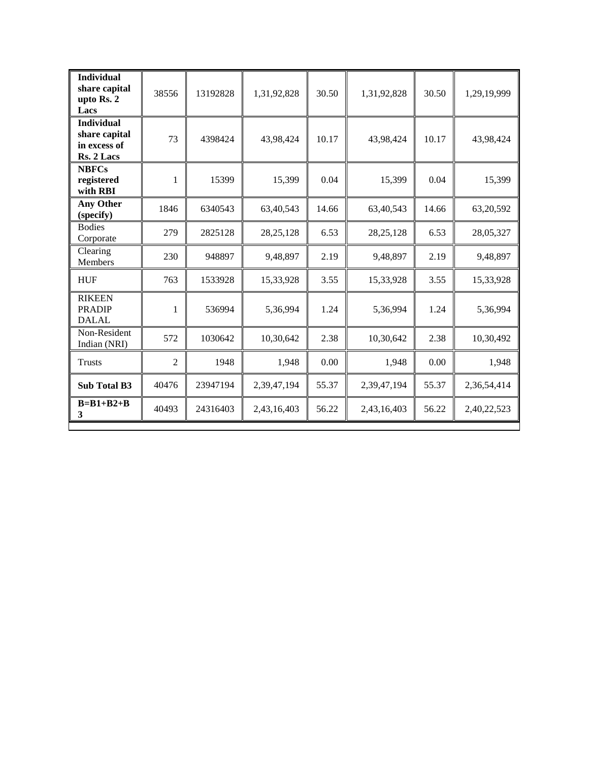| <b>Individual</b><br>share capital<br>upto Rs. 2<br>Lacs         | 38556          | 13192828 | 1,31,92,828 | 30.50 | 1,31,92,828 | 30.50 | 1,29,19,999 |
|------------------------------------------------------------------|----------------|----------|-------------|-------|-------------|-------|-------------|
| <b>Individual</b><br>share capital<br>in excess of<br>Rs. 2 Lacs | 73             | 4398424  | 43,98,424   | 10.17 | 43,98,424   | 10.17 | 43,98,424   |
| <b>NBFCs</b><br>registered<br>with RBI                           | 1              | 15399    | 15,399      | 0.04  | 15,399      | 0.04  | 15,399      |
| <b>Any Other</b><br>(specify)                                    | 1846           | 6340543  | 63,40,543   | 14.66 | 63,40,543   | 14.66 | 63,20,592   |
| <b>Bodies</b><br>Corporate                                       | 279            | 2825128  | 28, 25, 128 | 6.53  | 28, 25, 128 | 6.53  | 28,05,327   |
| Clearing<br>Members                                              | 230            | 948897   | 9,48,897    | 2.19  | 9,48,897    | 2.19  | 9,48,897    |
| <b>HUF</b>                                                       | 763            | 1533928  | 15,33,928   | 3.55  | 15,33,928   | 3.55  | 15,33,928   |
| <b>RIKEEN</b><br><b>PRADIP</b><br><b>DALAL</b>                   | $\mathbf{1}$   | 536994   | 5,36,994    | 1.24  | 5,36,994    | 1.24  | 5,36,994    |
| Non-Resident<br>Indian (NRI)                                     | 572            | 1030642  | 10,30,642   | 2.38  | 10,30,642   | 2.38  | 10,30,492   |
| <b>Trusts</b>                                                    | $\overline{2}$ | 1948     | 1,948       | 0.00  | 1,948       | 0.00  | 1,948       |
| <b>Sub Total B3</b>                                              | 40476          | 23947194 | 2,39,47,194 | 55.37 | 2,39,47,194 | 55.37 | 2,36,54,414 |
| $B=B1+B2+B$<br>3                                                 | 40493          | 24316403 | 2,43,16,403 | 56.22 | 2,43,16,403 | 56.22 | 2,40,22,523 |